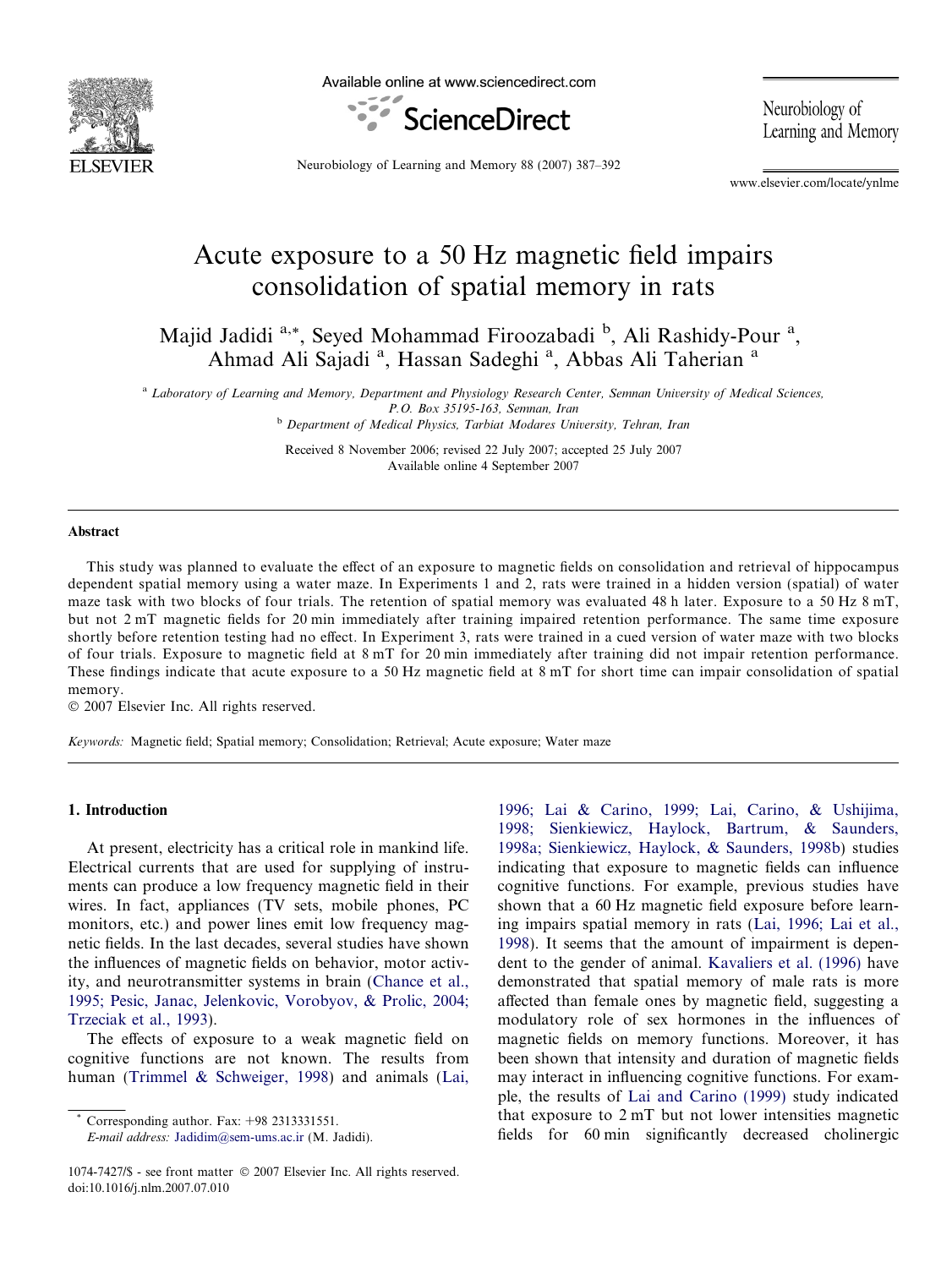

Available online at www.sciencedirect.com



Neurobiology of Learning and Memory

Neurobiology of Learning and Memory 88 (2007) 387–392

www.elsevier.com/locate/ynlme

# Acute exposure to a 50 Hz magnetic field impairs consolidation of spatial memory in rats

Majid Jadidi<sup>a,\*</sup>, Seyed Mohammad Firoozabadi <sup>b</sup>, Ali Rashidy-Pour<sup>a</sup>, Ahmad Ali Sajadi<sup>a</sup>, Hassan Sadeghi<sup>a</sup>, Abbas Ali Taherian<sup>a</sup>

a Laboratory of Learning and Memory, Department and Physiology Research Center, Semnan University of Medical Sciences, P.O. Box 35195-163, Semnan, Iran

b Department of Medical Physics, Tarbiat Modares University, Tehran, Iran

Received 8 November 2006; revised 22 July 2007; accepted 25 July 2007 Available online 4 September 2007

## Abstract

This study was planned to evaluate the effect of an exposure to magnetic fields on consolidation and retrieval of hippocampus dependent spatial memory using a water maze. In Experiments 1 and 2, rats were trained in a hidden version (spatial) of water maze task with two blocks of four trials. The retention of spatial memory was evaluated 48 h later. Exposure to a 50 Hz 8 mT, but not 2 mT magnetic fields for 20 min immediately after training impaired retention performance. The same time exposure shortly before retention testing had no effect. In Experiment 3, rats were trained in a cued version of water maze with two blocks of four trials. Exposure to magnetic field at 8 mT for 20 min immediately after training did not impair retention performance. These findings indicate that acute exposure to a 50 Hz magnetic field at 8 mT for short time can impair consolidation of spatial memory.

© 2007 Elsevier Inc. All rights reserved.

Keywords: Magnetic field; Spatial memory; Consolidation; Retrieval; Acute exposure; Water maze

# 1. Introduction

At present, electricity has a critical role in mankind life. Electrical currents that are used for supplying of instruments can produce a low frequency magnetic field in their wires. In fact, appliances (TV sets, mobile phones, PC monitors, etc.) and power lines emit low frequency magnetic fields. In the last decades, several studies have shown the influences of magnetic fields on behavior, motor activity, and neurotransmitter systems in brain [\(Chance et al.,](#page--1-0) [1995; Pesic, Janac, Jelenkovic, Vorobyov, & Prolic, 2004;](#page--1-0) [Trzeciak et al., 1993](#page--1-0)).

The effects of exposure to a weak magnetic field on cognitive functions are not known. The results from human ([Trimmel & Schweiger, 1998\)](#page--1-0) and animals ([Lai,](#page--1-0)

Corresponding author. Fax:  $+98$  2313331551.

E-mail address: [Jadidim@sem-ums.ac.ir](mailto:Jadidim@sem-ums.ac.ir) (M. Jadidi).

[1996; Lai & Carino, 1999; Lai, Carino, & Ushijima,](#page--1-0) [1998; Sienkiewicz, Haylock, Bartrum, & Saunders,](#page--1-0) [1998a; Sienkiewicz, Haylock, & Saunders, 1998b\)](#page--1-0) studies indicating that exposure to magnetic fields can influence cognitive functions. For example, previous studies have shown that a 60 Hz magnetic field exposure before learning impairs spatial memory in rats ([Lai, 1996; Lai et al.,](#page--1-0) [1998](#page--1-0)). It seems that the amount of impairment is dependent to the gender of animal. [Kavaliers et al. \(1996\)](#page--1-0) have demonstrated that spatial memory of male rats is more affected than female ones by magnetic field, suggesting a modulatory role of sex hormones in the influences of magnetic fields on memory functions. Moreover, it has been shown that intensity and duration of magnetic fields may interact in influencing cognitive functions. For example, the results of [Lai and Carino \(1999\)](#page--1-0) study indicated that exposure to 2 mT but not lower intensities magnetic fields for 60 min significantly decreased cholinergic

<sup>1074-7427/\$ -</sup> see front matter © 2007 Elsevier Inc. All rights reserved. doi:10.1016/j.nlm.2007.07.010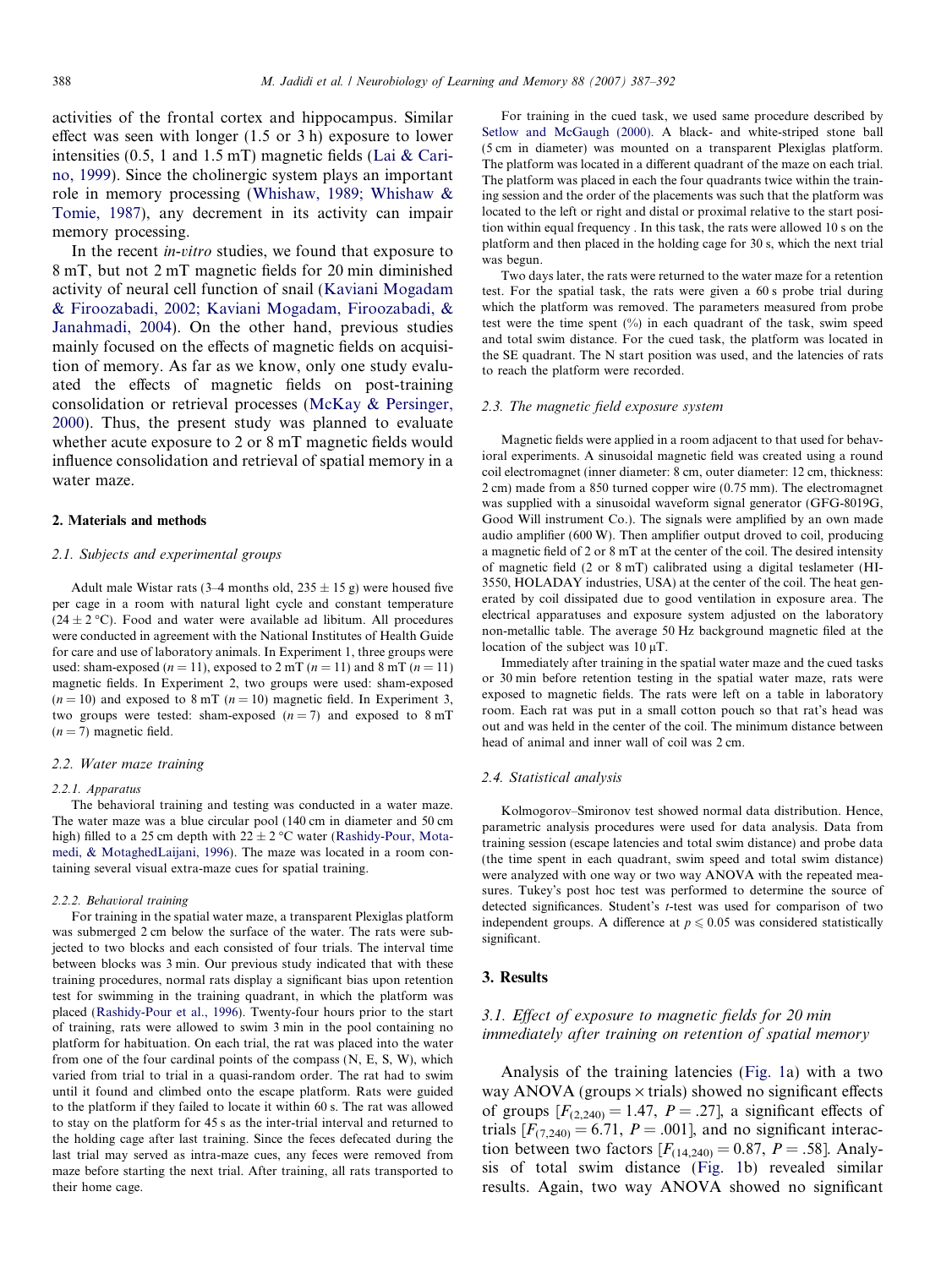activities of the frontal cortex and hippocampus. Similar effect was seen with longer (1.5 or 3 h) exposure to lower intensities (0.5, 1 and 1.5 mT) magnetic fields [\(Lai & Cari](#page--1-0)[no, 1999\)](#page--1-0). Since the cholinergic system plays an important role in memory processing [\(Whishaw, 1989; Whishaw &](#page--1-0) [Tomie, 1987](#page--1-0)), any decrement in its activity can impair memory processing.

In the recent in-vitro studies, we found that exposure to 8 mT, but not 2 mT magnetic fields for 20 min diminished activity of neural cell function of snail ([Kaviani Mogadam](#page--1-0) [& Firoozabadi, 2002; Kaviani Mogadam, Firoozabadi, &](#page--1-0) [Janahmadi, 2004](#page--1-0)). On the other hand, previous studies mainly focused on the effects of magnetic fields on acquisition of memory. As far as we know, only one study evaluated the effects of magnetic fields on post-training consolidation or retrieval processes [\(McKay & Persinger,](#page--1-0) [2000\)](#page--1-0). Thus, the present study was planned to evaluate whether acute exposure to 2 or 8 mT magnetic fields would influence consolidation and retrieval of spatial memory in a water maze.

## 2. Materials and methods

### 2.1. Subjects and experimental groups

Adult male Wistar rats (3–4 months old,  $235 \pm 15$  g) were housed five per cage in a room with natural light cycle and constant temperature  $(24 \pm 2 \degree C)$ . Food and water were available ad libitum. All procedures were conducted in agreement with the National Institutes of Health Guide for care and use of laboratory animals. In Experiment 1, three groups were used: sham-exposed ( $n = 11$ ), exposed to 2 mT ( $n = 11$ ) and 8 mT ( $n = 11$ ) magnetic fields. In Experiment 2, two groups were used: sham-exposed  $(n = 10)$  and exposed to 8 mT  $(n = 10)$  magnetic field. In Experiment 3, two groups were tested: sham-exposed  $(n = 7)$  and exposed to  $8 \text{ mT}$  $(n = 7)$  magnetic field.

#### 2.2. Water maze training

#### 2.2.1. Apparatus

The behavioral training and testing was conducted in a water maze. The water maze was a blue circular pool (140 cm in diameter and 50 cm high) filled to a 25 cm depth with  $22 \pm 2$  °C water [\(Rashidy-Pour, Mota](#page--1-0)[medi, & MotaghedLaijani, 1996\)](#page--1-0). The maze was located in a room containing several visual extra-maze cues for spatial training.

#### 2.2.2. Behavioral training

For training in the spatial water maze, a transparent Plexiglas platform was submerged 2 cm below the surface of the water. The rats were subjected to two blocks and each consisted of four trials. The interval time between blocks was 3 min. Our previous study indicated that with these training procedures, normal rats display a significant bias upon retention test for swimming in the training quadrant, in which the platform was placed [\(Rashidy-Pour et al., 1996](#page--1-0)). Twenty-four hours prior to the start of training, rats were allowed to swim 3 min in the pool containing no platform for habituation. On each trial, the rat was placed into the water from one of the four cardinal points of the compass (N, E, S, W), which varied from trial to trial in a quasi-random order. The rat had to swim until it found and climbed onto the escape platform. Rats were guided to the platform if they failed to locate it within 60 s. The rat was allowed to stay on the platform for 45 s as the inter-trial interval and returned to the holding cage after last training. Since the feces defecated during the last trial may served as intra-maze cues, any feces were removed from maze before starting the next trial. After training, all rats transported to their home cage.

For training in the cued task, we used same procedure described by [Setlow and McGaugh \(2000\)](#page--1-0). A black- and white-striped stone ball (5 cm in diameter) was mounted on a transparent Plexiglas platform. The platform was located in a different quadrant of the maze on each trial. The platform was placed in each the four quadrants twice within the training session and the order of the placements was such that the platform was located to the left or right and distal or proximal relative to the start position within equal frequency . In this task, the rats were allowed 10 s on the platform and then placed in the holding cage for 30 s, which the next trial was begun.

Two days later, the rats were returned to the water maze for a retention test. For the spatial task, the rats were given a 60 s probe trial during which the platform was removed. The parameters measured from probe test were the time spent (%) in each quadrant of the task, swim speed and total swim distance. For the cued task, the platform was located in the SE quadrant. The N start position was used, and the latencies of rats to reach the platform were recorded.

#### 2.3. The magnetic field exposure system

Magnetic fields were applied in a room adjacent to that used for behavioral experiments. A sinusoidal magnetic field was created using a round coil electromagnet (inner diameter: 8 cm, outer diameter: 12 cm, thickness: 2 cm) made from a 850 turned copper wire (0.75 mm). The electromagnet was supplied with a sinusoidal waveform signal generator (GFG-8019G, Good Will instrument Co.). The signals were amplified by an own made audio amplifier (600 W). Then amplifier output droved to coil, producing a magnetic field of 2 or 8 mT at the center of the coil. The desired intensity of magnetic field (2 or 8 mT) calibrated using a digital teslameter (HI-3550, HOLADAY industries, USA) at the center of the coil. The heat generated by coil dissipated due to good ventilation in exposure area. The electrical apparatuses and exposure system adjusted on the laboratory non-metallic table. The average 50 Hz background magnetic filed at the location of the subject was  $10 \mu$ T.

Immediately after training in the spatial water maze and the cued tasks or 30 min before retention testing in the spatial water maze, rats were exposed to magnetic fields. The rats were left on a table in laboratory room. Each rat was put in a small cotton pouch so that rat's head was out and was held in the center of the coil. The minimum distance between head of animal and inner wall of coil was 2 cm.

## 2.4. Statistical analysis

Kolmogorov–Smironov test showed normal data distribution. Hence, parametric analysis procedures were used for data analysis. Data from training session (escape latencies and total swim distance) and probe data (the time spent in each quadrant, swim speed and total swim distance) were analyzed with one way or two way ANOVA with the repeated measures. Tukey's post hoc test was performed to determine the source of detected significances. Student's t-test was used for comparison of two independent groups. A difference at  $p \leq 0.05$  was considered statistically significant.

## 3. Results

# 3.1. Effect of exposure to magnetic fields for 20 min immediately after training on retention of spatial memory

Analysis of the training latencies ([Fig. 1](#page--1-0)a) with a two way ANOVA (groups  $\times$  trials) showed no significant effects of groups  $[F_{(2,240)} = 1.47, P = .27]$ , a significant effects of trials  $[F<sub>(7,240)</sub> = 6.71, P = .001]$ , and no significant interaction between two factors  $[F_{(14,240)} = 0.87, P = .58]$ . Analysis of total swim distance [\(Fig. 1b](#page--1-0)) revealed similar results. Again, two way ANOVA showed no significant